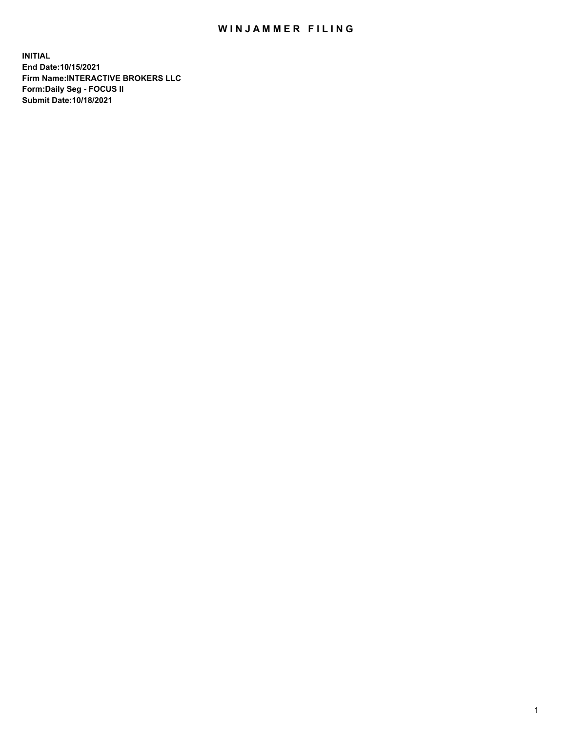## WIN JAMMER FILING

**INITIAL End Date:10/15/2021 Firm Name:INTERACTIVE BROKERS LLC Form:Daily Seg - FOCUS II Submit Date:10/18/2021**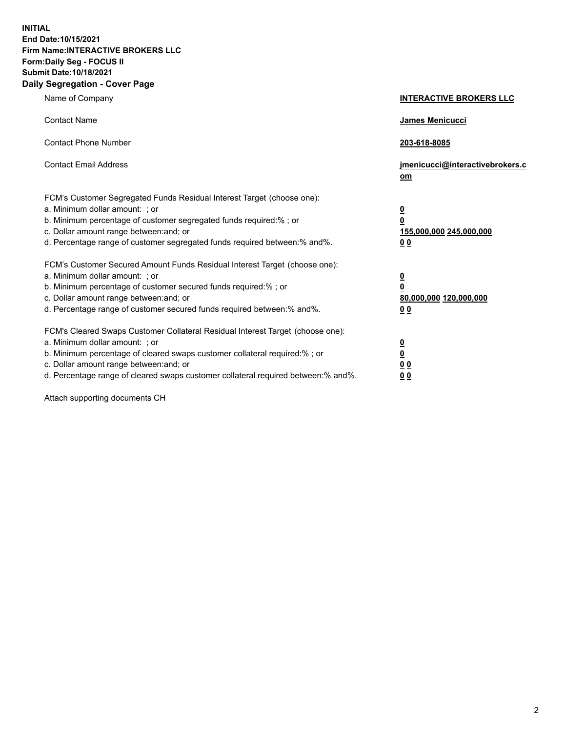**INITIAL End Date:10/15/2021 Firm Name:INTERACTIVE BROKERS LLC Form:Daily Seg - FOCUS II Submit Date:10/18/2021 Daily Segregation - Cover Page**

| Name of Company                                                                                                                                                                                                                                                                                                                | <b>INTERACTIVE BROKERS LLC</b>                                                                           |
|--------------------------------------------------------------------------------------------------------------------------------------------------------------------------------------------------------------------------------------------------------------------------------------------------------------------------------|----------------------------------------------------------------------------------------------------------|
| <b>Contact Name</b>                                                                                                                                                                                                                                                                                                            | James Menicucci                                                                                          |
| <b>Contact Phone Number</b>                                                                                                                                                                                                                                                                                                    | 203-618-8085                                                                                             |
| <b>Contact Email Address</b>                                                                                                                                                                                                                                                                                                   | jmenicucci@interactivebrokers.c<br>om                                                                    |
| FCM's Customer Segregated Funds Residual Interest Target (choose one):<br>a. Minimum dollar amount: ; or<br>b. Minimum percentage of customer segregated funds required:% ; or<br>c. Dollar amount range between: and; or<br>d. Percentage range of customer segregated funds required between:% and%.                         | $\overline{\mathbf{0}}$<br>$\overline{\mathbf{0}}$<br>155,000,000 245,000,000<br>0 <sub>0</sub>          |
| FCM's Customer Secured Amount Funds Residual Interest Target (choose one):<br>a. Minimum dollar amount: ; or<br>b. Minimum percentage of customer secured funds required:%; or<br>c. Dollar amount range between: and; or<br>d. Percentage range of customer secured funds required between:% and%.                            | $\overline{\mathbf{0}}$<br>$\overline{\mathbf{0}}$<br>80,000,000 120,000,000<br>00                       |
| FCM's Cleared Swaps Customer Collateral Residual Interest Target (choose one):<br>a. Minimum dollar amount: ; or<br>b. Minimum percentage of cleared swaps customer collateral required:% ; or<br>c. Dollar amount range between: and; or<br>d. Percentage range of cleared swaps customer collateral required between:% and%. | $\overline{\mathbf{0}}$<br>$\underline{\mathbf{0}}$<br>$\underline{0}$ $\underline{0}$<br>0 <sub>0</sub> |

Attach supporting documents CH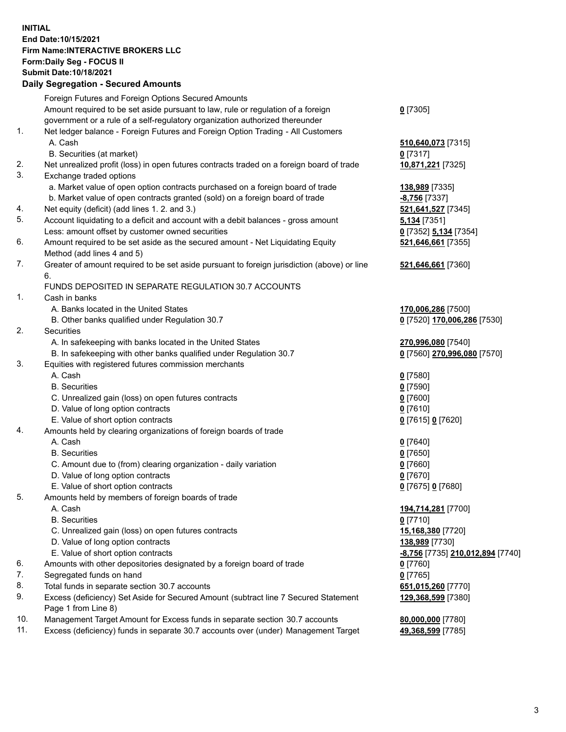## **INITIAL End Date:10/15/2021 Firm Name:INTERACTIVE BROKERS LLC Form:Daily Seg - FOCUS II Submit Date:10/18/2021**

|     | <b>Daily Segregation - Secured Amounts</b>                                                                 |                                         |
|-----|------------------------------------------------------------------------------------------------------------|-----------------------------------------|
|     | Foreign Futures and Foreign Options Secured Amounts                                                        |                                         |
|     | Amount required to be set aside pursuant to law, rule or regulation of a foreign                           | $Q$ [7305]                              |
|     | government or a rule of a self-regulatory organization authorized thereunder                               |                                         |
| 1.  | Net ledger balance - Foreign Futures and Foreign Option Trading - All Customers                            |                                         |
|     | A. Cash                                                                                                    | 510,640,073 [7315]                      |
|     | B. Securities (at market)                                                                                  | $0$ [7317]                              |
| 2.  | Net unrealized profit (loss) in open futures contracts traded on a foreign board of trade                  | 10,871,221 [7325]                       |
| 3.  | Exchange traded options                                                                                    |                                         |
|     | a. Market value of open option contracts purchased on a foreign board of trade                             | 138,989 [7335]                          |
|     | b. Market value of open contracts granted (sold) on a foreign board of trade                               | <b>-8,756</b> [7337]                    |
| 4.  | Net equity (deficit) (add lines 1. 2. and 3.)                                                              | 521,641,527 [7345]                      |
| 5.  | Account liquidating to a deficit and account with a debit balances - gross amount                          | <b>5,134</b> [7351]                     |
|     | Less: amount offset by customer owned securities                                                           | 0 [7352] 5,134 [7354]                   |
| 6.  | Amount required to be set aside as the secured amount - Net Liquidating Equity                             | 521,646,661 [7355]                      |
|     | Method (add lines 4 and 5)                                                                                 |                                         |
| 7.  | Greater of amount required to be set aside pursuant to foreign jurisdiction (above) or line<br>6.          | 521,646,661 [7360]                      |
|     | FUNDS DEPOSITED IN SEPARATE REGULATION 30.7 ACCOUNTS                                                       |                                         |
| 1.  | Cash in banks                                                                                              |                                         |
|     | A. Banks located in the United States                                                                      | 170,006,286 [7500]                      |
|     | B. Other banks qualified under Regulation 30.7                                                             | 0 [7520] 170,006,286 [7530]             |
| 2.  | <b>Securities</b>                                                                                          |                                         |
|     | A. In safekeeping with banks located in the United States                                                  | 270,996,080 [7540]                      |
|     | B. In safekeeping with other banks qualified under Regulation 30.7                                         | 0 [7560] 270,996,080 [7570]             |
| 3.  | Equities with registered futures commission merchants                                                      |                                         |
|     | A. Cash                                                                                                    | $0$ [7580]                              |
|     | <b>B.</b> Securities                                                                                       | $0$ [7590]                              |
|     | C. Unrealized gain (loss) on open futures contracts                                                        | $0$ [7600]                              |
|     | D. Value of long option contracts                                                                          | $0$ [7610]                              |
|     | E. Value of short option contracts                                                                         | 0 [7615] 0 [7620]                       |
| 4.  | Amounts held by clearing organizations of foreign boards of trade                                          |                                         |
|     | A. Cash                                                                                                    | $0$ [7640]                              |
|     | <b>B.</b> Securities                                                                                       | $0$ [7650]                              |
|     | C. Amount due to (from) clearing organization - daily variation                                            | $0$ [7660]                              |
|     | D. Value of long option contracts                                                                          | $0$ [7670]                              |
|     | E. Value of short option contracts                                                                         | 0 [7675] 0 [7680]                       |
| 5.  | Amounts held by members of foreign boards of trade                                                         |                                         |
|     | A. Cash                                                                                                    | 194,714,281 [7700]                      |
|     | <b>B.</b> Securities                                                                                       | $0$ [7710]                              |
|     | C. Unrealized gain (loss) on open futures contracts                                                        | 15,168,380 [7720]                       |
|     | D. Value of long option contracts                                                                          | 138,989 [7730]                          |
|     | E. Value of short option contracts                                                                         | <u>-8,756</u> [7735] 210,012,894 [7740] |
| 6.  | Amounts with other depositories designated by a foreign board of trade                                     | 0 [7760]                                |
| 7.  | Segregated funds on hand                                                                                   | $0$ [7765]                              |
| 8.  | Total funds in separate section 30.7 accounts                                                              | 651,015,260 [7770]                      |
| 9.  | Excess (deficiency) Set Aside for Secured Amount (subtract line 7 Secured Statement<br>Page 1 from Line 8) | 129,368,599 [7380]                      |
| 10. | Management Target Amount for Excess funds in separate section 30.7 accounts                                | 80,000,000 [7780]                       |
| 11. | Excess (deficiency) funds in separate 30.7 accounts over (under) Management Target                         | 49,368,599 [7785]                       |
|     |                                                                                                            |                                         |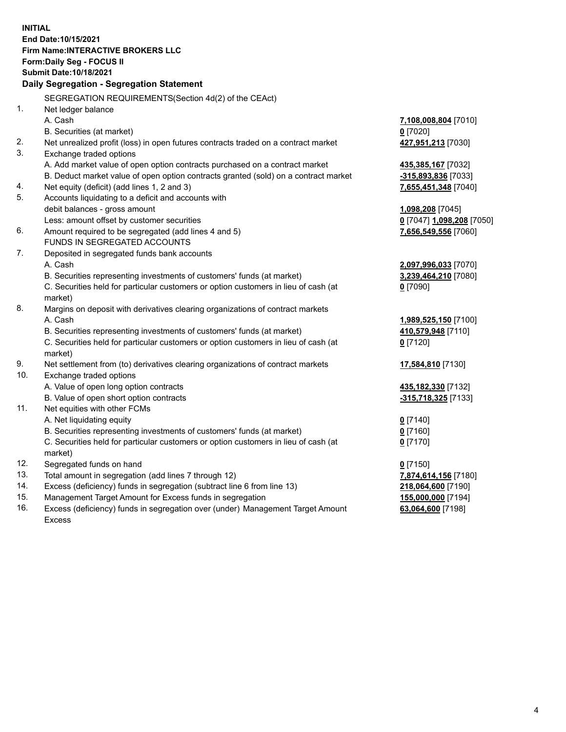**INITIAL End Date:10/15/2021 Firm Name:INTERACTIVE BROKERS LLC Form:Daily Seg - FOCUS II Submit Date:10/18/2021 Daily Segregation - Segregation Statement** SEGREGATION REQUIREMENTS(Section 4d(2) of the CEAct) 1. Net ledger balance A. Cash **7,108,008,804** [7010] B. Securities (at market) **0** [7020] 2. Net unrealized profit (loss) in open futures contracts traded on a contract market **427,951,213** [7030] 3. Exchange traded options A. Add market value of open option contracts purchased on a contract market **435,385,167** [7032] B. Deduct market value of open option contracts granted (sold) on a contract market **-315,893,836** [7033] 4. Net equity (deficit) (add lines 1, 2 and 3) **7,655,451,348** [7040] 5. Accounts liquidating to a deficit and accounts with debit balances - gross amount **1,098,208** [7045] Less: amount offset by customer securities **0** [7047] **1,098,208** [7050] 6. Amount required to be segregated (add lines 4 and 5) **7,656,549,556** [7060] FUNDS IN SEGREGATED ACCOUNTS 7. Deposited in segregated funds bank accounts A. Cash **2,097,996,033** [7070] B. Securities representing investments of customers' funds (at market) **3,239,464,210** [7080] C. Securities held for particular customers or option customers in lieu of cash (at market) **0** [7090] 8. Margins on deposit with derivatives clearing organizations of contract markets A. Cash **1,989,525,150** [7100] B. Securities representing investments of customers' funds (at market) **410,579,948** [7110] C. Securities held for particular customers or option customers in lieu of cash (at market) **0** [7120] 9. Net settlement from (to) derivatives clearing organizations of contract markets **17,584,810** [7130] 10. Exchange traded options A. Value of open long option contracts **435,182,330** [7132] B. Value of open short option contracts **-315,718,325** [7133] 11. Net equities with other FCMs A. Net liquidating equity **0** [7140] B. Securities representing investments of customers' funds (at market) **0** [7160] C. Securities held for particular customers or option customers in lieu of cash (at market) **0** [7170] 12. Segregated funds on hand **0** [7150] 13. Total amount in segregation (add lines 7 through 12) **7,874,614,156** [7180] 14. Excess (deficiency) funds in segregation (subtract line 6 from line 13) **218,064,600** [7190] 15. Management Target Amount for Excess funds in segregation **155,000,000** [7194] **63,064,600** [7198]

16. Excess (deficiency) funds in segregation over (under) Management Target Amount Excess